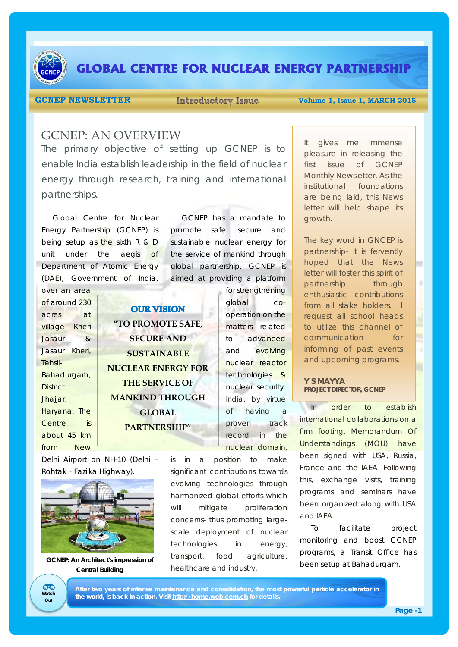

# **GLOBAL CENTRE FOR NUCLEAR ENERGY PARTNERSHIP**

**GCNEP NEWSLETTER** Introductory Issue Volume-1, Issue 1, MARCH 2015

## GCNEP: AN OVERVIEW

The primary objective of setting up GCNEP is to enable India establish leadership in the field of nuclear energy through research, training and international partnerships.

Global Centre for Nuclear Energy Partnership (GCNEP) is being setup as the sixth R & D unit under the aegis of Department of Atomic Energy (DAE), Government of India,

GCNEP has a mandate to promote safe, secure and sustainable nuclear energy for the service of mankind through global partnership. GCNEP is aimed at providing a platform

| of around 230   |
|-----------------|
| at<br>acres     |
| village Kheri   |
| Jasaur<br>&     |
| Jasaur Kheri,   |
| Tehsil-         |
| Bahadurgarh,    |
| <b>District</b> |
| Jhajjar,        |
| Haryana. The    |
| Centre<br>is    |
| about 45 km     |
| New<br>from     |

over an area

**OUR VISION "TO PROMOTE SAFE, SECURE AND SUSTAINABLE NUCLEAR ENERGY FOR THE SERVICE OF MANKIND THROUGH GLOBAL PARTNERSHIP"**

global cooperation on the matters related to advanced and evolving nuclear reactor technologies & nuclear security. India, by virtue of having a proven track record in the nuclear domain,

for strengthening

Delhi Airport on NH-10 (Delhi – Rohtak – Fazilka Highway).



**GCNEP: An Architect's impression of Central Building** 

**Watch Out**

CHO

is in a position to make significant contributions towards evolving technologies through harmonized global efforts which will mitigate proliferation concerns- thus promoting largescale deployment of nuclear technologies in energy, transport, food, agriculture, healthcare and industry.

It gives me immense pleasure in releasing the first issue of GCNEP Monthly Newsletter. As the institutional foundations are being laid, this News letter will help shape its growth.

The key word in GNCEP is partnership- it is fervently hoped that the News letter will foster this spirit of partnership through enthusiastic contributions from all stake holders. I request all school heads to utilize this channel of communication for informing of past events and upcoming programs.

### **Y S MAYYA PROJECT DIRECTOR, GCNEP**

In order to establish international collaborations on a firm footing, Memorandum Of Understandings (MOU) have been signed with USA, Russia, France and the IAEA. Following this, exchange visits, training programs and seminars have been organized along with USA and IAEA.

To facilitate project monitoring and boost GCNEP programs, a Transit Office has been setup at Bahadurgarh.

**After two years of intense maintenance and consolidation, the most powerful particle accelerator in the world, is back in action. Visit http://home.web.cern.ch for details.**